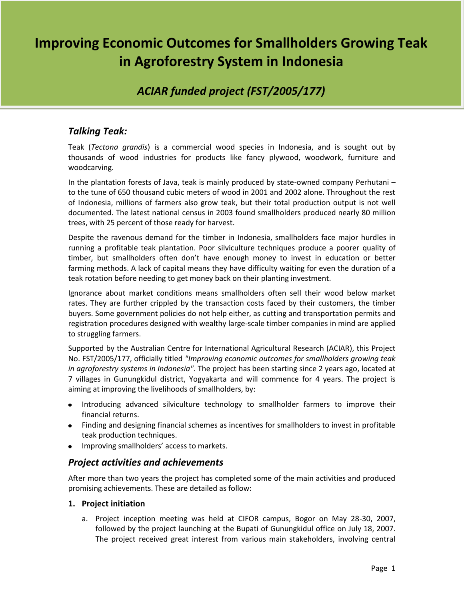# **Improving Economic Outcomes for Smallholders Growing Teak in Agroforestry System in Indonesia**

# *ACIAR funded project (FST/2005/177)*

# *Talking Teak:*

Teak (*Tectona grandis*) is a commercial wood species in Indonesia, and is sought out by thousands of wood industries for products like fancy plywood, woodwork, furniture and woodcarving.

In the plantation forests of Java, teak is mainly produced by state-owned company Perhutani – to the tune of 650 thousand cubic meters of wood in 2001 and 2002 alone. Throughout the rest of Indonesia, millions of farmers also grow teak, but their total production output is not well documented. The latest national census in 2003 found smallholders produced nearly 80 million trees, with 25 percent of those ready for harvest.

Despite the ravenous demand for the timber in Indonesia, smallholders face major hurdles in running a profitable teak plantation. Poor silviculture techniques produce a poorer quality of timber, but smallholders often don't have enough money to invest in education or better farming methods. A lack of capital means they have difficulty waiting for even the duration of a teak rotation before needing to get money back on their planting investment.

Ignorance about market conditions means smallholders often sell their wood below market rates. They are further crippled by the transaction costs faced by their customers, the timber buyers. Some government policies do not help either, as cutting and transportation permits and registration procedures designed with wealthy large-scale timber companies in mind are applied to struggling farmers.

Supported by the Australian Centre for International Agricultural Research (ACIAR), this Project No. FST/2005/177, officially titled *"Improving economic outcomes for smallholders growing teak in agroforestry systems in Indonesia"*. The project has been starting since 2 years ago, located at 7 villages in Gunungkidul district, Yogyakarta and will commence for 4 years. The project is aiming at improving the livelihoods of smallholders, by:

- Introducing advanced silviculture technology to smallholder farmers to improve their financial returns.
- Finding and designing financial schemes as incentives for smallholders to invest in profitable teak production techniques.
- Improving smallholders' access to markets.

## *Project activities and achievements*

After more than two years the project has completed some of the main activities and produced promising achievements. These are detailed as follow:

#### **1. Project initiation**

a. Project inception meeting was held at CIFOR campus, Bogor on May 28-30, 2007, followed by the project launching at the Bupati of Gunungkidul office on July 18, 2007. The project received great interest from various main stakeholders, involving central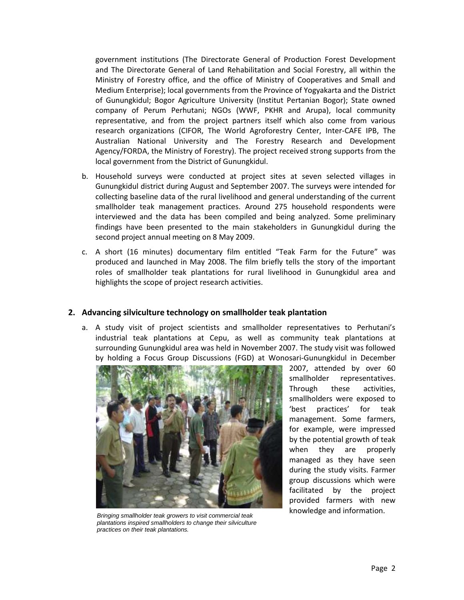government institutions (The Directorate General of Production Forest Development and The Directorate General of Land Rehabilitation and Social Forestry, all within the Ministry of Forestry office, and the office of Ministry of Cooperatives and Small and Medium Enterprise); local governments from the Province of Yogyakarta and the District of Gunungkidul; Bogor Agriculture University (Institut Pertanian Bogor); State owned company of Perum Perhutani; NGOs (WWF, PKHR and Arupa), local community representative, and from the project partners itself which also come from various research organizations (CIFOR, The World Agroforestry Center, Inter-CAFE IPB, The Australian National University and The Forestry Research and Development Agency/FORDA, the Ministry of Forestry). The project received strong supports from the local government from the District of Gunungkidul.

- b. Household surveys were conducted at project sites at seven selected villages in Gunungkidul district during August and September 2007. The surveys were intended for collecting baseline data of the rural livelihood and general understanding of the current smallholder teak management practices. Around 275 household respondents were interviewed and the data has been compiled and being analyzed. Some preliminary findings have been presented to the main stakeholders in Gunungkidul during the second project annual meeting on 8 May 2009.
- c. A short (16 minutes) documentary film entitled "Teak Farm for the Future" was produced and launched in May 2008. The film briefly tells the story of the important roles of smallholder teak plantations for rural livelihood in Gunungkidul area and highlights the scope of project research activities.

#### **2. Advancing silviculture technology on smallholder teak plantation**

a. A study visit of project scientists and smallholder representatives to Perhutani's industrial teak plantations at Cepu, as well as community teak plantations at surrounding Gunungkidul area was held in November 2007. The study visit was followed by holding a Focus Group Discussions (FGD) at Wonosari-Gunungkidul in December



*Bringing smallholder teak growers to visit commercial teak plantations inspired smallholders to change their silviculture practices on their teak plantations.*

2007, attended by over 60 smallholder representatives. Through these activities, smallholders were exposed to 'best practices' for teak management. Some farmers, for example, were impressed by the potential growth of teak when they are properly managed as they have seen during the study visits. Farmer group discussions which were facilitated by the project provided farmers with new knowledge and information.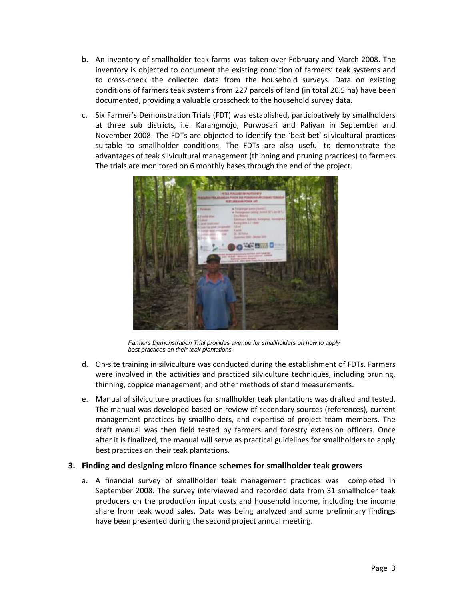- b. An inventory of smallholder teak farms was taken over February and March 2008. The inventory is objected to document the existing condition of farmers' teak systems and to cross-check the collected data from the household surveys. Data on existing conditions of farmers teak systems from 227 parcels of land (in total 20.5 ha) have been documented, providing a valuable crosscheck to the household survey data.
- c. Six Farmer's Demonstration Trials (FDT) was established, participatively by smallholders at three sub districts, i.e. Karangmojo, Purwosari and Paliyan in September and November 2008. The FDTs are objected to identify the 'best bet' silvicultural practices suitable to smallholder conditions. The FDTs are also useful to demonstrate the advantages of teak silvicultural management (thinning and pruning practices) to farmers. The trials are monitored on 6 monthly bases through the end of the project.



*Farmers Demonstration Trial provides avenue for smallholders on how to apply best practices on their teak plantations.*

- d. On-site training in silviculture was conducted during the establishment of FDTs. Farmers were involved in the activities and practiced silviculture techniques, including pruning, thinning, coppice management, and other methods of stand measurements.
- e. Manual of silviculture practices for smallholder teak plantations was drafted and tested. The manual was developed based on review of secondary sources (references), current management practices by smallholders, and expertise of project team members. The draft manual was then field tested by farmers and forestry extension officers. Once after it is finalized, the manual will serve as practical guidelines for smallholders to apply best practices on their teak plantations.

#### **3. Finding and designing micro finance schemes for smallholder teak growers**

a. A financial survey of smallholder teak management practices was completed in September 2008. The survey interviewed and recorded data from 31 smallholder teak producers on the production input costs and household income, including the income share from teak wood sales. Data was being analyzed and some preliminary findings have been presented during the second project annual meeting.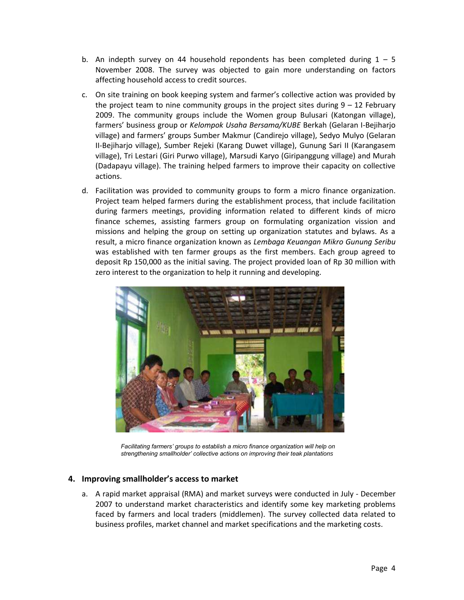- b. An indepth survey on 44 household repondents has been completed during  $1 5$ November 2008. The survey was objected to gain more understanding on factors affecting household access to credit sources.
- c. On site training on book keeping system and farmer's collective action was provided by the project team to nine community groups in the project sites during  $9 - 12$  February 2009. The community groups include the Women group Bulusari (Katongan village), farmers' business group or *Kelompok Usaha Bersama/KUBE* Berkah (Gelaran I-Bejiharjo village) and farmers' groups Sumber Makmur (Candirejo village), Sedyo Mulyo (Gelaran II-Bejiharjo village), Sumber Rejeki (Karang Duwet village), Gunung Sari II (Karangasem village), Tri Lestari (Giri Purwo village), Marsudi Karyo (Giripanggung village) and Murah (Dadapayu village). The training helped farmers to improve their capacity on collective actions.
- d. Facilitation was provided to community groups to form a micro finance organization. Project team helped farmers during the establishment process, that include facilitation during farmers meetings, providing information related to different kinds of micro finance schemes, assisting farmers group on formulating organization vission and missions and helping the group on setting up organization statutes and bylaws. As a result, a micro finance organization known as *Lembaga Keuangan Mikro Gunung Seribu* was established with ten farmer groups as the first members. Each group agreed to deposit Rp 150,000 as the initial saving. The project provided loan of Rp 30 million with zero interest to the organization to help it running and developing.



*Facilitating farmers' groups to establish a micro finance organization will help on strengthening smallholder' collective actions on improving their teak plantations*

#### **4. Improving smallholder's access to market**

a. A rapid market appraisal (RMA) and market surveys were conducted in July - December 2007 to understand market characteristics and identify some key marketing problems faced by farmers and local traders (middlemen). The survey collected data related to business profiles, market channel and market specifications and the marketing costs.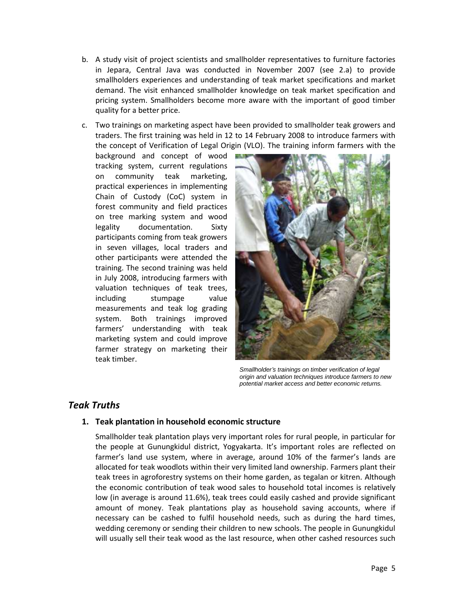- b. A study visit of project scientists and smallholder representatives to furniture factories in Jepara, Central Java was conducted in November 2007 (see 2.a) to provide smallholders experiences and understanding of teak market specifications and market demand. The visit enhanced smallholder knowledge on teak market specification and pricing system. Smallholders become more aware with the important of good timber quality for a better price.
- c. Two trainings on marketing aspect have been provided to smallholder teak growers and traders. The first training was held in 12 to 14 February 2008 to introduce farmers with the concept of Verification of Legal Origin (VLO). The training inform farmers with the

background and concept of wood tracking system, current regulations on community teak marketing, practical experiences in implementing Chain of Custody (CoC) system in forest community and field practices on tree marking system and wood legality documentation. Sixty participants coming from teak growers in seven villages, local traders and other participants were attended the training. The second training was held in July 2008, introducing farmers with valuation techniques of teak trees, including stumpage value measurements and teak log grading system. Both trainings improved farmers' understanding with teak marketing system and could improve farmer strategy on marketing their teak timber.



*Smallholder's trainings on timber verification of legal origin and valuation techniques introduce farmers to new potential market access and better economic returns.*

## *Teak Truths*

#### **1. Teak plantation in household economic structure**

Smallholder teak plantation plays very important roles for rural people, in particular for the people at Gunungkidul district, Yogyakarta. It's important roles are reflected on farmer's land use system, where in average, around 10% of the farmer's lands are allocated for teak woodlots within their very limited land ownership. Farmers plant their teak trees in agroforestry systems on their home garden, as tegalan or kitren. Although the economic contribution of teak wood sales to household total incomes is relatively low (in average is around 11.6%), teak trees could easily cashed and provide significant amount of money. Teak plantations play as household saving accounts, where if necessary can be cashed to fulfil household needs, such as during the hard times, wedding ceremony or sending their children to new schools. The people in Gunungkidul will usually sell their teak wood as the last resource, when other cashed resources such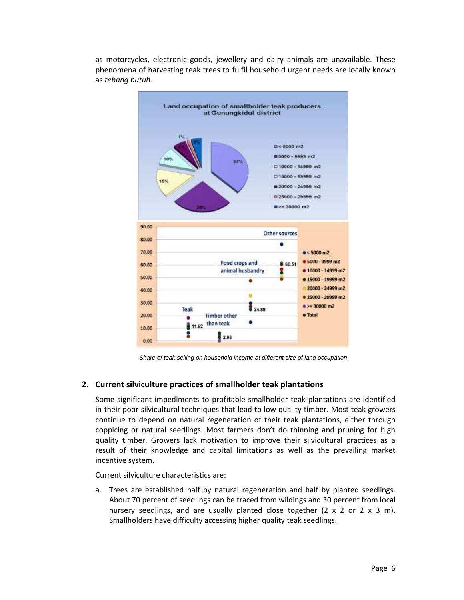

as motorcycles, electronic goods, jewellery and dairy animals are unavailable. These phenomena of harvesting teak trees to fulfil household urgent needs are locally known as *tebang butuh.*

*Share of teak selling on household income at different size of land occupation*

#### **2. Current silviculture practices of smallholder teak plantations**

Some significant impediments to profitable smallholder teak plantations are identified in their poor silvicultural techniques that lead to low quality timber. Most teak growers continue to depend on natural regeneration of their teak plantations, either through coppicing or natural seedlings. Most farmers don't do thinning and pruning for high quality timber. Growers lack motivation to improve their silvicultural practices as a result of their knowledge and capital limitations as well as the prevailing market incentive system.

Current silviculture characteristics are:

a. Trees are established half by natural regeneration and half by planted seedlings. About 70 percent of seedlings can be traced from wildings and 30 percent from local nursery seedlings, and are usually planted close together  $(2 \times 2 \text{ or } 2 \times 3 \text{ m})$ . Smallholders have difficulty accessing higher quality teak seedlings.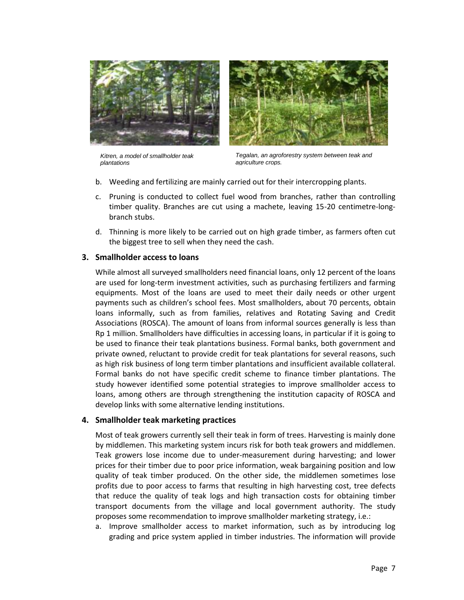



*Kitren, a model of smallholder teak plantations*

*Tegalan, an agroforestry system between teak and agriculture crops.*

- b. Weeding and fertilizing are mainly carried out for their intercropping plants.
- c. Pruning is conducted to collect fuel wood from branches, rather than controlling timber quality. Branches are cut using a machete, leaving 15-20 centimetre-longbranch stubs.
- d. Thinning is more likely to be carried out on high grade timber, as farmers often cut the biggest tree to sell when they need the cash.

#### **3. Smallholder access to loans**

While almost all surveyed smallholders need financial loans, only 12 percent of the loans are used for long-term investment activities, such as purchasing fertilizers and farming equipments. Most of the loans are used to meet their daily needs or other urgent payments such as children's school fees. Most smallholders, about 70 percents, obtain loans informally, such as from families, relatives and Rotating Saving and Credit Associations (ROSCA). The amount of loans from informal sources generally is less than Rp 1 million. Smallholders have difficulties in accessing loans, in particular if it is going to be used to finance their teak plantations business. Formal banks, both government and private owned, reluctant to provide credit for teak plantations for several reasons, such as high risk business of long term timber plantations and insufficient available collateral. Formal banks do not have specific credit scheme to finance timber plantations. The study however identified some potential strategies to improve smallholder access to loans, among others are through strengthening the institution capacity of ROSCA and develop links with some alternative lending institutions.

#### **4. Smallholder teak marketing practices**

Most of teak growers currently sell their teak in form of trees. Harvesting is mainly done by middlemen. This marketing system incurs risk for both teak growers and middlemen. Teak growers lose income due to under-measurement during harvesting; and lower prices for their timber due to poor price information, weak bargaining position and low quality of teak timber produced. On the other side, the middlemen sometimes lose profits due to poor access to farms that resulting in high harvesting cost, tree defects that reduce the quality of teak logs and high transaction costs for obtaining timber transport documents from the village and local government authority. The study proposes some recommendation to improve smallholder marketing strategy, i.e.:

a. Improve smallholder access to market information, such as by introducing log grading and price system applied in timber industries. The information will provide